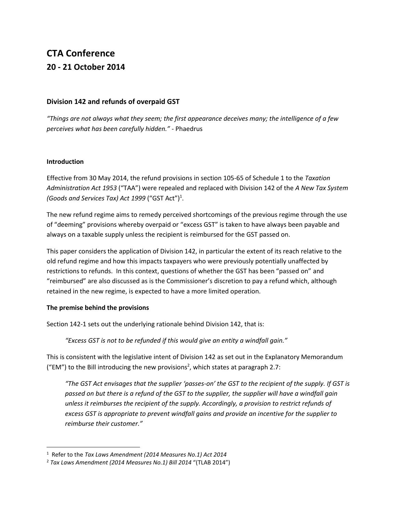# **CTA Conference 20 - 21 October 2014**

# **Division 142 and refunds of overpaid GST**

*"Things are not always what they seem; the first appearance deceives many; the intelligence of a few perceives what has been carefully hidden." -* Phaedrus

#### **Introduction**

Effective from 30 May 2014, the refund provisions in section 105-65 of Schedule 1 to the *Taxation Administration Act 1953* ("TAA") were repealed and replaced with Division 142 of the *A New Tax System (Goods and Services Tax) Act 1999* ("GST Act")<sup>1</sup> .

The new refund regime aims to remedy perceived shortcomings of the previous regime through the use of "deeming" provisions whereby overpaid or "excess GST" is taken to have always been payable and always on a taxable supply unless the recipient is reimbursed for the GST passed on.

This paper considers the application of Division 142, in particular the extent of its reach relative to the old refund regime and how this impacts taxpayers who were previously potentially unaffected by restrictions to refunds. In this context, questions of whether the GST has been "passed on" and "reimbursed" are also discussed as is the Commissioner's discretion to pay a refund which, although retained in the new regime, is expected to have a more limited operation.

# **The premise behind the provisions**

Section 142-1 sets out the underlying rationale behind Division 142, that is:

*"Excess GST is not to be refunded if this would give an entity a windfall gain."*

This is consistent with the legislative intent of Division 142 as set out in the Explanatory Memorandum ("EM") to the Bill introducing the new provisions<sup>2</sup>, which states at paragraph 2.7:

*"The GST Act envisages that the supplier 'passes-on' the GST to the recipient of the supply. If GST is passed on but there is a refund of the GST to the supplier, the supplier will have a windfall gain unless it reimburses the recipient of the supply. Accordingly, a provision to restrict refunds of excess GST is appropriate to prevent windfall gains and provide an incentive for the supplier to reimburse their customer."*

<sup>1</sup> Refer to the *Tax Laws Amendment (2014 Measures No.1) Act 2014*

<sup>2</sup> *Tax Laws Amendment (2014 Measures No.1) Bill 2014* "(TLAB 2014")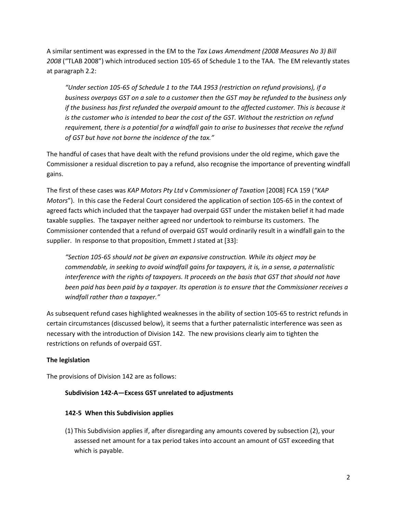A similar sentiment was expressed in the EM to the *Tax Laws Amendment (2008 Measures No 3) Bill 2008* ("TLAB 2008") which introduced section 105-65 of Schedule 1 to the TAA. The EM relevantly states at paragraph 2.2:

*"Under section 105-65 of Schedule 1 to the TAA 1953 (restriction on refund provisions), if a business overpays GST on a sale to a customer then the GST may be refunded to the business only if the business has first refunded the overpaid amount to the affected customer. This is because it is the customer who is intended to bear the cost of the GST. Without the restriction on refund requirement, there is a potential for a windfall gain to arise to businesses that receive the refund of GST but have not borne the incidence of the tax."*

The handful of cases that have dealt with the refund provisions under the old regime, which gave the Commissioner a residual discretion to pay a refund, also recognise the importance of preventing windfall gains.

The first of these cases was *KAP Motors Pty Ltd* v *Commissioner of Taxation* [2008] FCA 159 (*"KAP Motors*"). In this case the Federal Court considered the application of section 105-65 in the context of agreed facts which included that the taxpayer had overpaid GST under the mistaken belief it had made taxable supplies. The taxpayer neither agreed nor undertook to reimburse its customers. The Commissioner contended that a refund of overpaid GST would ordinarily result in a windfall gain to the supplier. In response to that proposition, Emmett J stated at [33]:

*"Section 105-65 should not be given an expansive construction. While its object may be commendable, in seeking to avoid windfall gains for taxpayers, it is, in a sense, a paternalistic interference with the rights of taxpayers. It proceeds on the basis that GST that should not have been paid has been paid by a taxpayer. Its operation is to ensure that the Commissioner receives a windfall rather than a taxpayer."*

As subsequent refund cases highlighted weaknesses in the ability of section 105-65 to restrict refunds in certain circumstances (discussed below), it seems that a further paternalistic interference was seen as necessary with the introduction of Division 142. The new provisions clearly aim to tighten the restrictions on refunds of overpaid GST.

# **The legislation**

The provisions of Division 142 are as follows:

#### **Subdivision 142-A—Excess GST unrelated to adjustments**

#### **142-5 When this Subdivision applies**

(1) This Subdivision applies if, after disregarding any amounts covered by subsection (2), your assessed net amount for a tax period takes into account an amount of GST exceeding that which is payable.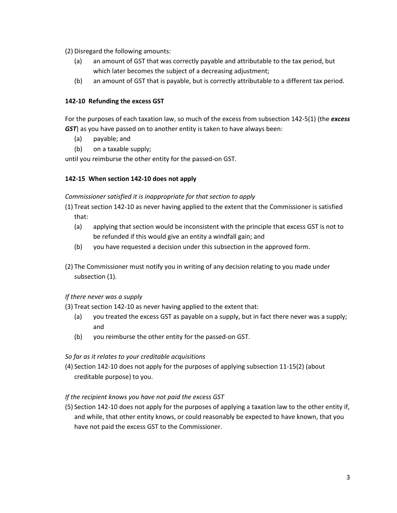(2) Disregard the following amounts:

- (a) an amount of GST that was correctly payable and attributable to the tax period, but which later becomes the subject of a decreasing adjustment;
- (b) an amount of GST that is payable, but is correctly attributable to a different tax period.

# **142-10 Refunding the excess GST**

For the purposes of each taxation law, so much of the excess from subsection 142-5(1) (the *excess GST*) as you have passed on to another entity is taken to have always been:

- (a) payable; and
- (b) on a taxable supply;

until you reimburse the other entity for the passed-on GST.

# **142-15 When section 142-10 does not apply**

#### *Commissioner satisfied it is inappropriate for that section to apply*

- (1) Treat section 142-10 as never having applied to the extent that the Commissioner is satisfied that:
	- (a) applying that section would be inconsistent with the principle that excess GST is not to be refunded if this would give an entity a windfall gain; and
	- (b) you have requested a decision under this subsection in the approved form.
- (2) The Commissioner must notify you in writing of any decision relating to you made under subsection (1).

# *If there never was a supply*

(3) Treat section 142-10 as never having applied to the extent that:

- (a) you treated the excess GST as payable on a supply, but in fact there never was a supply; and
- (b) you reimburse the other entity for the passed-on GST.

# *So far as it relates to your creditable acquisitions*

(4) Section 142-10 does not apply for the purposes of applying subsection 11-15(2) (about creditable purpose) to you.

# *If the recipient knows you have not paid the excess GST*

(5) Section 142-10 does not apply for the purposes of applying a taxation law to the other entity if, and while, that other entity knows, or could reasonably be expected to have known, that you have not paid the excess GST to the Commissioner.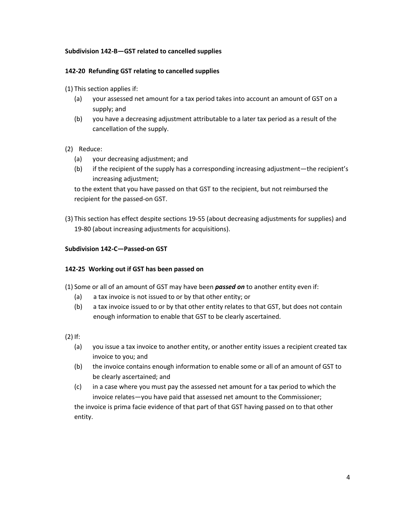#### **Subdivision 142-B—GST related to cancelled supplies**

#### **142-20 Refunding GST relating to cancelled supplies**

- (1) This section applies if:
	- (a) your assessed net amount for a tax period takes into account an amount of GST on a supply; and
	- (b) you have a decreasing adjustment attributable to a later tax period as a result of the cancellation of the supply.

#### (2) Reduce:

- (a) your decreasing adjustment; and
- (b) if the recipient of the supply has a corresponding increasing adjustment—the recipient's increasing adjustment;

to the extent that you have passed on that GST to the recipient, but not reimbursed the recipient for the passed-on GST.

(3) This section has effect despite sections 19-55 (about decreasing adjustments for supplies) and 19-80 (about increasing adjustments for acquisitions).

#### **Subdivision 142-C—Passed-on GST**

#### **142-25 Working out if GST has been passed on**

(1) Some or all of an amount of GST may have been *passed on* to another entity even if:

- (a) a tax invoice is not issued to or by that other entity; or
- (b) a tax invoice issued to or by that other entity relates to that GST, but does not contain enough information to enable that GST to be clearly ascertained.

(2) If:

- (a) you issue a tax invoice to another entity, or another entity issues a recipient created tax invoice to you; and
- (b) the invoice contains enough information to enable some or all of an amount of GST to be clearly ascertained; and
- (c) in a case where you must pay the assessed net amount for a tax period to which the invoice relates—you have paid that assessed net amount to the Commissioner;

the invoice is prima facie evidence of that part of that GST having passed on to that other entity.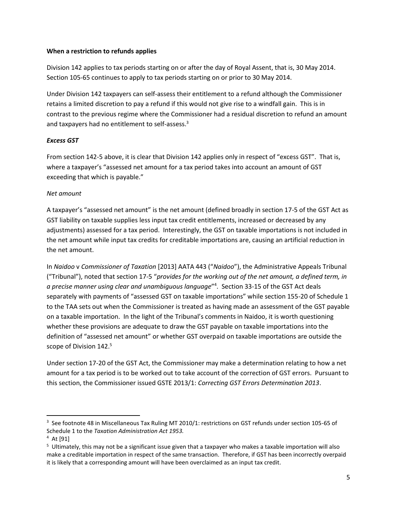#### **When a restriction to refunds applies**

Division 142 applies to tax periods starting on or after the day of Royal Assent, that is, 30 May 2014. Section 105-65 continues to apply to tax periods starting on or prior to 30 May 2014.

Under Division 142 taxpayers can self-assess their entitlement to a refund although the Commissioner retains a limited discretion to pay a refund if this would not give rise to a windfall gain. This is in contrast to the previous regime where the Commissioner had a residual discretion to refund an amount and taxpayers had no entitlement to self-assess.<sup>3</sup>

# *Excess GST*

From section 142-5 above, it is clear that Division 142 applies only in respect of "excess GST". That is, where a taxpayer's "assessed net amount for a tax period takes into account an amount of GST exceeding that which is payable."

#### *Net amount*

A taxpayer's "assessed net amount" is the net amount (defined broadly in section 17-5 of the GST Act as GST liability on taxable supplies less input tax credit entitlements, increased or decreased by any adjustments) assessed for a tax period. Interestingly, the GST on taxable importations is not included in the net amount while input tax credits for creditable importations are, causing an artificial reduction in the net amount.

In *Naidoo* v *Commissioner of Taxation* [2013] AATA 443 ("*Naidoo*"), the Administrative Appeals Tribunal ("Tribunal"), noted that section 17-5 "*provides for the working out of the net amount, a defined term, in a precise manner using clear and unambiguous language*" 4 . Section 33-15 of the GST Act deals separately with payments of "assessed GST on taxable importations" while section 155-20 of Schedule 1 to the TAA sets out when the Commissioner is treated as having made an assessment of the GST payable on a taxable importation. In the light of the Tribunal's comments in Naidoo, it is worth questioning whether these provisions are adequate to draw the GST payable on taxable importations into the definition of "assessed net amount" or whether GST overpaid on taxable importations are outside the scope of Division 142.<sup>5</sup>

Under section 17-20 of the GST Act, the Commissioner may make a determination relating to how a net amount for a tax period is to be worked out to take account of the correction of GST errors. Pursuant to this section, the Commissioner issued GSTE 2013/1: *Correcting GST Errors Determination 2013*.

<sup>3</sup> See footnote 48 in Miscellaneous Tax Ruling MT 2010/1: restrictions on GST refunds under section 105-65 of Schedule 1 to the *Taxation Administration Act 1953.*

<sup>4</sup> At [91]

<sup>5</sup> Ultimately, this may not be a significant issue given that a taxpayer who makes a taxable importation will also make a creditable importation in respect of the same transaction. Therefore, if GST has been incorrectly overpaid it is likely that a corresponding amount will have been overclaimed as an input tax credit.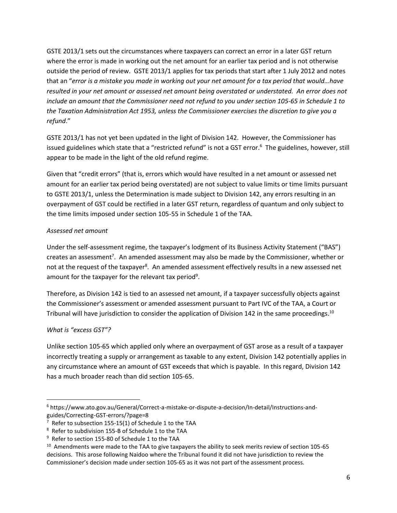GSTE 2013/1 sets out the circumstances where taxpayers can correct an error in a later GST return where the error is made in working out the net amount for an earlier tax period and is not otherwise outside the period of review. GSTE 2013/1 applies for tax periods that start after 1 July 2012 and notes that an "*error is a mistake you made in working out your net amount for a tax period that would…have resulted in your net amount or assessed net amount being overstated or understated. An error does not include an amount that the Commissioner need not refund to you under section 105-65 in Schedule 1 to the Taxation Administration Act 1953, unless the Commissioner exercises the discretion to give you a refund*."

GSTE 2013/1 has not yet been updated in the light of Division 142. However, the Commissioner has issued guidelines which state that a "restricted refund" is not a GST error. 6 The guidelines, however, still appear to be made in the light of the old refund regime.

Given that "credit errors" (that is, errors which would have resulted in a net amount or assessed net amount for an earlier tax period being overstated) are not subject to value limits or time limits pursuant to GSTE 2013/1, unless the Determination is made subject to Division 142, any errors resulting in an overpayment of GST could be rectified in a later GST return, regardless of quantum and only subject to the time limits imposed under section 105-55 in Schedule 1 of the TAA.

# *Assessed net amount*

Under the self-assessment regime, the taxpayer's lodgment of its Business Activity Statement ("BAS") creates an assessment<sup>7</sup>. An amended assessment may also be made by the Commissioner, whether or not at the request of the taxpayer<sup>8</sup>. An amended assessment effectively results in a new assessed net amount for the taxpayer for the relevant tax period<sup>9</sup>.

Therefore, as Division 142 is tied to an assessed net amount, if a taxpayer successfully objects against the Commissioner's assessment or amended assessment pursuant to Part IVC of the TAA, a Court or Tribunal will have jurisdiction to consider the application of Division 142 in the same proceedings.<sup>10</sup>

# *What is "excess GST"?*

Unlike section 105-65 which applied only where an overpayment of GST arose as a result of a taxpayer incorrectly treating a supply or arrangement as taxable to any extent, Division 142 potentially applies in any circumstance where an amount of GST exceeds that which is payable. In this regard, Division 142 has a much broader reach than did section 105-65.

<sup>6</sup> https://www.ato.gov.au/General/Correct-a-mistake-or-dispute-a-decision/In-detail/Instructions-andguides/Correcting-GST-errors/?page=8

 $7$  Refer to subsection 155-15(1) of Schedule 1 to the TAA

<sup>8</sup> Refer to subdivision 155-B of Schedule 1 to the TAA

<sup>9</sup> Refer to section 155-80 of Schedule 1 to the TAA

 $^{10}$  Amendments were made to the TAA to give taxpayers the ability to seek merits review of section 105-65 decisions. This arose following Naidoo where the Tribunal found it did not have jurisdiction to review the Commissioner's decision made under section 105-65 as it was not part of the assessment process.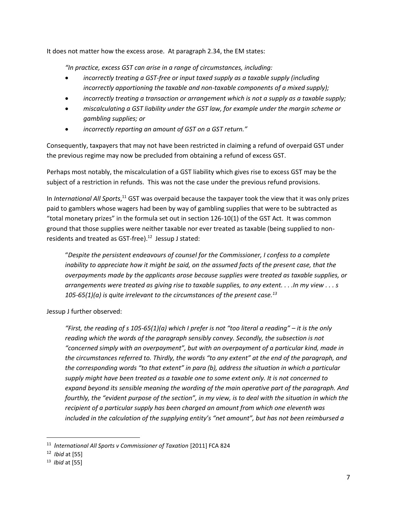It does not matter how the excess arose. At paragraph 2.34, the EM states:

*"In practice, excess GST can arise in a range of circumstances, including:*

- *incorrectly treating a GST-free or input taxed supply as a taxable supply (including incorrectly apportioning the taxable and non-taxable components of a mixed supply);*
- *incorrectly treating a transaction or arrangement which is not a supply as a taxable supply;*
- *miscalculating a GST liability under the GST law, for example under the margin scheme or gambling supplies; or*
- *incorrectly reporting an amount of GST on a GST return."*

Consequently, taxpayers that may not have been restricted in claiming a refund of overpaid GST under the previous regime may now be precluded from obtaining a refund of excess GST.

Perhaps most notably, the miscalculation of a GST liability which gives rise to excess GST may be the subject of a restriction in refunds. This was not the case under the previous refund provisions.

In *International All Sports*,<sup>11</sup> GST was overpaid because the taxpayer took the view that it was only prizes paid to gamblers whose wagers had been by way of gambling supplies that were to be subtracted as "total monetary prizes" in the formula set out in section 126-10(1) of the GST Act. It was common ground that those supplies were neither taxable nor ever treated as taxable (being supplied to nonresidents and treated as GST-free). $12$  Jessup J stated:

"*Despite the persistent endeavours of counsel for the Commissioner, I confess to a complete inability to appreciate how it might be said, on the assumed facts of the present case, that the overpayments made by the applicants arose because supplies were treated as taxable supplies, or arrangements were treated as giving rise to taxable supplies, to any extent. . . .In my view . . . s 105-65(1)(a) is quite irrelevant to the circumstances of the present case.<sup>13</sup>*

Jessup J further observed:

*"First, the reading of s 105-65(1)(a) which I prefer is not "too literal a reading" – it is the only reading which the words of the paragraph sensibly convey. Secondly, the subsection is not "concerned simply with an overpayment", but with an overpayment of a particular kind, made in the circumstances referred to. Thirdly, the words "to any extent" at the end of the paragraph, and the corresponding words "to that extent" in para (b), address the situation in which a particular supply might have been treated as a taxable one to some extent only. It is not concerned to expand beyond its sensible meaning the wording of the main operative part of the paragraph. And fourthly, the "evident purpose of the section", in my view, is to deal with the situation in which the recipient of a particular supply has been charged an amount from which one eleventh was included in the calculation of the supplying entity's "net amount", but has not been reimbursed a* 

<sup>11</sup> *International All Sports v Commissioner of Taxation* [2011] FCA 824

<sup>12</sup> *Ibid* at [55]

<sup>13</sup> *Ibid* at [55]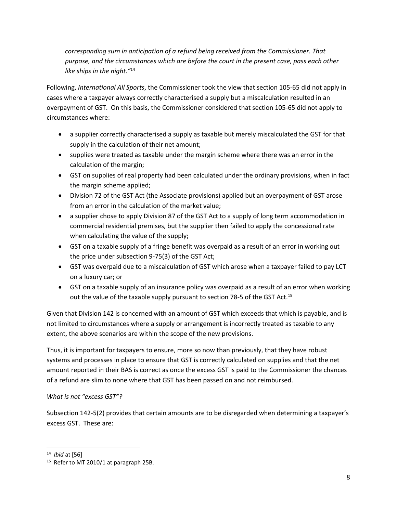*corresponding sum in anticipation of a refund being received from the Commissioner. That purpose, and the circumstances which are before the court in the present case, pass each other like ships in the night."*<sup>14</sup>

Following, *International All Sports*, the Commissioner took the view that section 105-65 did not apply in cases where a taxpayer always correctly characterised a supply but a miscalculation resulted in an overpayment of GST. On this basis, the Commissioner considered that section 105-65 did not apply to circumstances where:

- a supplier correctly characterised a supply as taxable but merely miscalculated the GST for that supply in the calculation of their net amount;
- supplies were treated as taxable under the margin scheme where there was an error in the calculation of the margin;
- GST on supplies of real property had been calculated under the ordinary provisions, when in fact the margin scheme applied;
- Division 72 of the GST Act (the Associate provisions) applied but an overpayment of GST arose from an error in the calculation of the market value;
- a supplier chose to apply Division 87 of the GST Act to a supply of long term accommodation in commercial residential premises, but the supplier then failed to apply the concessional rate when calculating the value of the supply;
- GST on a taxable supply of a fringe benefit was overpaid as a result of an error in working out the price under subsection 9-75(3) of the GST Act;
- GST was overpaid due to a miscalculation of GST which arose when a taxpayer failed to pay LCT on a luxury car; or
- GST on a taxable supply of an insurance policy was overpaid as a result of an error when working out the value of the taxable supply pursuant to section 78-5 of the GST Act.<sup>15</sup>

Given that Division 142 is concerned with an amount of GST which exceeds that which is payable, and is not limited to circumstances where a supply or arrangement is incorrectly treated as taxable to any extent, the above scenarios are within the scope of the new provisions.

Thus, it is important for taxpayers to ensure, more so now than previously, that they have robust systems and processes in place to ensure that GST is correctly calculated on supplies and that the net amount reported in their BAS is correct as once the excess GST is paid to the Commissioner the chances of a refund are slim to none where that GST has been passed on and not reimbursed.

# *What is not "excess GST"?*

Subsection 142-5(2) provides that certain amounts are to be disregarded when determining a taxpayer's excess GST. These are:

<sup>14</sup> *Ibid* at [56]

<sup>&</sup>lt;sup>15</sup> Refer to MT 2010/1 at paragraph 25B.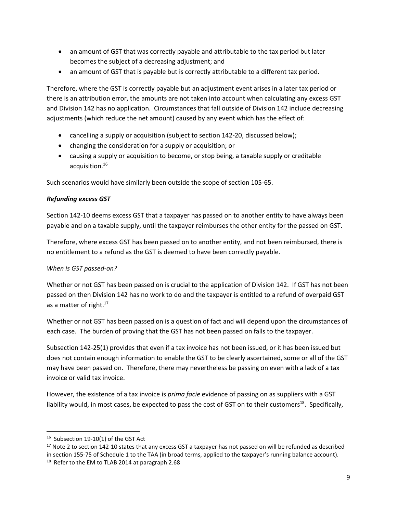- an amount of GST that was correctly payable and attributable to the tax period but later becomes the subject of a decreasing adjustment; and
- an amount of GST that is payable but is correctly attributable to a different tax period.

Therefore, where the GST is correctly payable but an adjustment event arises in a later tax period or there is an attribution error, the amounts are not taken into account when calculating any excess GST and Division 142 has no application. Circumstances that fall outside of Division 142 include decreasing adjustments (which reduce the net amount) caused by any event which has the effect of:

- cancelling a supply or acquisition (subject to section 142-20, discussed below);
- changing the consideration for a supply or acquisition; or
- causing a supply or acquisition to become, or stop being, a taxable supply or creditable acquisition.<sup>16</sup>

Such scenarios would have similarly been outside the scope of section 105-65.

#### *Refunding excess GST*

Section 142-10 deems excess GST that a taxpayer has passed on to another entity to have always been payable and on a taxable supply, until the taxpayer reimburses the other entity for the passed on GST.

Therefore, where excess GST has been passed on to another entity, and not been reimbursed, there is no entitlement to a refund as the GST is deemed to have been correctly payable.

# *When is GST passed-on?*

Whether or not GST has been passed on is crucial to the application of Division 142. If GST has not been passed on then Division 142 has no work to do and the taxpayer is entitled to a refund of overpaid GST as a matter of right.<sup>17</sup>

Whether or not GST has been passed on is a question of fact and will depend upon the circumstances of each case. The burden of proving that the GST has not been passed on falls to the taxpayer.

Subsection 142-25(1) provides that even if a tax invoice has not been issued, or it has been issued but does not contain enough information to enable the GST to be clearly ascertained, some or all of the GST may have been passed on. Therefore, there may nevertheless be passing on even with a lack of a tax invoice or valid tax invoice.

However, the existence of a tax invoice is *prima facie* evidence of passing on as suppliers with a GST liability would, in most cases, be expected to pass the cost of GST on to their customers<sup>18</sup>. Specifically,

<sup>&</sup>lt;sup>16</sup> Subsection 19-10(1) of the GST Act

 $17$  Note 2 to section 142-10 states that any excess GST a taxpayer has not passed on will be refunded as described in section 155-75 of Schedule 1 to the TAA (in broad terms, applied to the taxpayer's running balance account).

<sup>&</sup>lt;sup>18</sup> Refer to the EM to TLAB 2014 at paragraph 2.68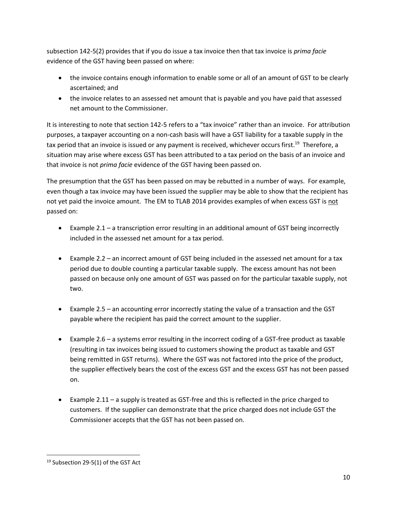subsection 142-5(2) provides that if you do issue a tax invoice then that tax invoice is *prima facie* evidence of the GST having been passed on where:

- the invoice contains enough information to enable some or all of an amount of GST to be clearly ascertained; and
- the invoice relates to an assessed net amount that is payable and you have paid that assessed net amount to the Commissioner.

It is interesting to note that section 142-5 refers to a "tax invoice" rather than an invoice. For attribution purposes, a taxpayer accounting on a non-cash basis will have a GST liability for a taxable supply in the tax period that an invoice is issued or any payment is received, whichever occurs first.<sup>19</sup> Therefore, a situation may arise where excess GST has been attributed to a tax period on the basis of an invoice and that invoice is not *prima facie* evidence of the GST having been passed on.

The presumption that the GST has been passed on may be rebutted in a number of ways. For example, even though a tax invoice may have been issued the supplier may be able to show that the recipient has not yet paid the invoice amount. The EM to TLAB 2014 provides examples of when excess GST is not passed on:

- Example 2.1 a transcription error resulting in an additional amount of GST being incorrectly included in the assessed net amount for a tax period.
- Example 2.2 an incorrect amount of GST being included in the assessed net amount for a tax period due to double counting a particular taxable supply. The excess amount has not been passed on because only one amount of GST was passed on for the particular taxable supply, not two.
- Example 2.5 an accounting error incorrectly stating the value of a transaction and the GST payable where the recipient has paid the correct amount to the supplier.
- Example 2.6 a systems error resulting in the incorrect coding of a GST-free product as taxable (resulting in tax invoices being issued to customers showing the product as taxable and GST being remitted in GST returns). Where the GST was not factored into the price of the product, the supplier effectively bears the cost of the excess GST and the excess GST has not been passed on.
- Example 2.11 a supply is treated as GST-free and this is reflected in the price charged to customers. If the supplier can demonstrate that the price charged does not include GST the Commissioner accepts that the GST has not been passed on.

<sup>&</sup>lt;sup>19</sup> Subsection 29-5(1) of the GST Act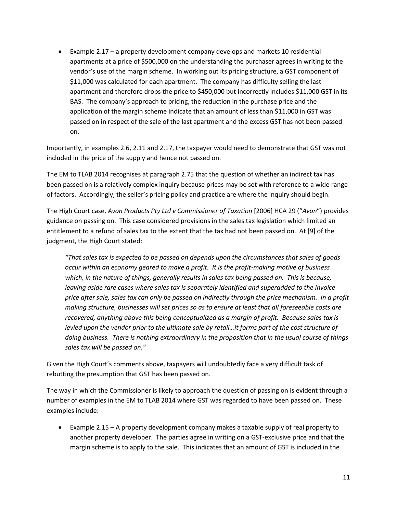• Example 2.17 – a property development company develops and markets 10 residential apartments at a price of \$500,000 on the understanding the purchaser agrees in writing to the vendor's use of the margin scheme. In working out its pricing structure, a GST component of \$11,000 was calculated for each apartment. The company has difficulty selling the last apartment and therefore drops the price to \$450,000 but incorrectly includes \$11,000 GST in its BAS. The company's approach to pricing, the reduction in the purchase price and the application of the margin scheme indicate that an amount of less than \$11,000 in GST was passed on in respect of the sale of the last apartment and the excess GST has not been passed on.

Importantly, in examples 2.6, 2.11 and 2.17, the taxpayer would need to demonstrate that GST was not included in the price of the supply and hence not passed on.

The EM to TLAB 2014 recognises at paragraph 2.75 that the question of whether an indirect tax has been passed on is a relatively complex inquiry because prices may be set with reference to a wide range of factors. Accordingly, the seller's pricing policy and practice are where the inquiry should begin.

The High Court case, *Avon Products Pty Ltd v Commissioner of Taxation* [2006] HCA 29 ("*Avon*") provides guidance on passing on. This case considered provisions in the sales tax legislation which limited an entitlement to a refund of sales tax to the extent that the tax had not been passed on. At [9] of the judgment, the High Court stated:

*"That sales tax is expected to be passed on depends upon the circumstances that sales of goods occur within an economy geared to make a profit. It is the profit-making motive of business which, in the nature of things, generally results in sales tax being passed on. This is because, leaving aside rare cases where sales tax is separately identified and superadded to the invoice price after sale, sales tax can only be passed on indirectly through the price mechanism. In a profit making structure, businesses will set prices so as to ensure at least that all foreseeable costs are recovered, anything above this being conceptualized as a margin of profit. Because sales tax is levied upon the vendor prior to the ultimate sale by retail...it forms part of the cost structure of doing business. There is nothing extraordinary in the proposition that in the usual course of things sales tax will be passed on."*

Given the High Court's comments above, taxpayers will undoubtedly face a very difficult task of rebutting the presumption that GST has been passed on.

The way in which the Commissioner is likely to approach the question of passing on is evident through a number of examples in the EM to TLAB 2014 where GST was regarded to have been passed on. These examples include:

• Example 2.15 – A property development company makes a taxable supply of real property to another property developer. The parties agree in writing on a GST-exclusive price and that the margin scheme is to apply to the sale. This indicates that an amount of GST is included in the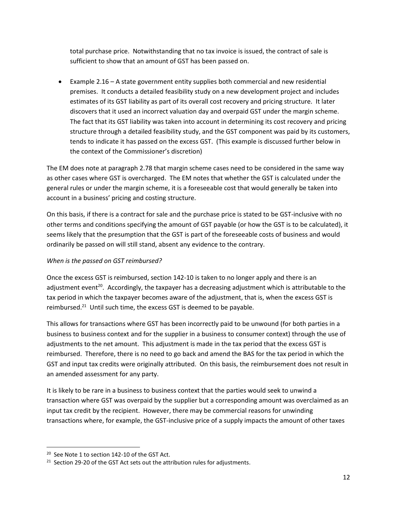total purchase price. Notwithstanding that no tax invoice is issued, the contract of sale is sufficient to show that an amount of GST has been passed on.

• Example 2.16 – A state government entity supplies both commercial and new residential premises. It conducts a detailed feasibility study on a new development project and includes estimates of its GST liability as part of its overall cost recovery and pricing structure. It later discovers that it used an incorrect valuation day and overpaid GST under the margin scheme. The fact that its GST liability was taken into account in determining its cost recovery and pricing structure through a detailed feasibility study, and the GST component was paid by its customers, tends to indicate it has passed on the excess GST. (This example is discussed further below in the context of the Commissioner's discretion)

The EM does note at paragraph 2.78 that margin scheme cases need to be considered in the same way as other cases where GST is overcharged. The EM notes that whether the GST is calculated under the general rules or under the margin scheme, it is a foreseeable cost that would generally be taken into account in a business' pricing and costing structure.

On this basis, if there is a contract for sale and the purchase price is stated to be GST-inclusive with no other terms and conditions specifying the amount of GST payable (or how the GST is to be calculated), it seems likely that the presumption that the GST is part of the foreseeable costs of business and would ordinarily be passed on will still stand, absent any evidence to the contrary.

# *When is the passed on GST reimbursed?*

Once the excess GST is reimbursed, section 142-10 is taken to no longer apply and there is an adjustment event<sup>20</sup>. Accordingly, the taxpayer has a decreasing adjustment which is attributable to the tax period in which the taxpayer becomes aware of the adjustment, that is, when the excess GST is reimbursed.<sup>21</sup> Until such time, the excess GST is deemed to be payable.

This allows for transactions where GST has been incorrectly paid to be unwound (for both parties in a business to business context and for the supplier in a business to consumer context) through the use of adjustments to the net amount. This adjustment is made in the tax period that the excess GST is reimbursed. Therefore, there is no need to go back and amend the BAS for the tax period in which the GST and input tax credits were originally attributed. On this basis, the reimbursement does not result in an amended assessment for any party.

It is likely to be rare in a business to business context that the parties would seek to unwind a transaction where GST was overpaid by the supplier but a corresponding amount was overclaimed as an input tax credit by the recipient. However, there may be commercial reasons for unwinding transactions where, for example, the GST-inclusive price of a supply impacts the amount of other taxes

<sup>&</sup>lt;sup>20</sup> See Note 1 to section 142-10 of the GST Act.

 $21$  Section 29-20 of the GST Act sets out the attribution rules for adjustments.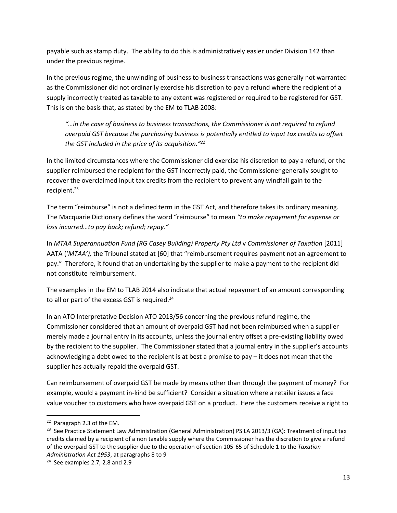payable such as stamp duty. The ability to do this is administratively easier under Division 142 than under the previous regime.

In the previous regime, the unwinding of business to business transactions was generally not warranted as the Commissioner did not ordinarily exercise his discretion to pay a refund where the recipient of a supply incorrectly treated as taxable to any extent was registered or required to be registered for GST. This is on the basis that, as stated by the EM to TLAB 2008:

"...in the case of business to business transactions, the Commissioner is not required to refund *overpaid GST because the purchasing business is potentially entitled to input tax credits to offset the GST included in the price of its acquisition."<sup>22</sup>*

In the limited circumstances where the Commissioner did exercise his discretion to pay a refund, or the supplier reimbursed the recipient for the GST incorrectly paid, the Commissioner generally sought to recover the overclaimed input tax credits from the recipient to prevent any windfall gain to the recipient.<sup>23</sup>

The term "reimburse" is not a defined term in the GST Act, and therefore takes its ordinary meaning. The Macquarie Dictionary defines the word "reimburse" to mean *"to make repayment for expense or loss incurred…to pay back; refund; repay."*

In *MTAA Superannuation Fund (RG Casey Building) Property Pty Ltd* v *Commissioner of Taxation* [2011] AATA ('*MTAA'),* the Tribunal stated at [60] that "reimbursement requires payment not an agreement to pay." Therefore, it found that an undertaking by the supplier to make a payment to the recipient did not constitute reimbursement.

The examples in the EM to TLAB 2014 also indicate that actual repayment of an amount corresponding to all or part of the excess GST is required. $24$ 

In an ATO Interpretative Decision ATO 2013/56 concerning the previous refund regime, the Commissioner considered that an amount of overpaid GST had not been reimbursed when a supplier merely made a journal entry in its accounts, unless the journal entry offset a pre-existing liability owed by the recipient to the supplier. The Commissioner stated that a journal entry in the supplier's accounts acknowledging a debt owed to the recipient is at best a promise to pay – it does not mean that the supplier has actually repaid the overpaid GST.

Can reimbursement of overpaid GST be made by means other than through the payment of money? For example, would a payment in-kind be sufficient? Consider a situation where a retailer issues a face value voucher to customers who have overpaid GST on a product. Here the customers receive a right to

<sup>&</sup>lt;sup>22</sup> Paragraph 2.3 of the EM.

<sup>&</sup>lt;sup>23</sup> See Practice Statement Law Administration (General Administration) PS LA 2013/3 (GA): Treatment of input tax credits claimed by a recipient of a non taxable supply where the Commissioner has the discretion to give a refund of the overpaid GST to the supplier due to the operation of section 105-65 of Schedule 1 to the *Taxation Administration Act 1953*, at paragraphs 8 to 9

 $24$  See examples 2.7, 2.8 and 2.9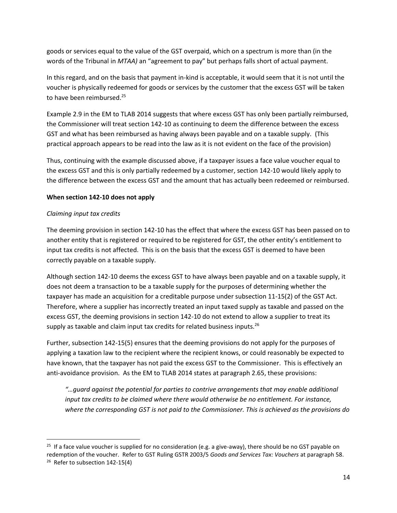goods or services equal to the value of the GST overpaid, which on a spectrum is more than (in the words of the Tribunal in *MTAA)* an "agreement to pay" but perhaps falls short of actual payment.

In this regard, and on the basis that payment in-kind is acceptable, it would seem that it is not until the voucher is physically redeemed for goods or services by the customer that the excess GST will be taken to have been reimbursed.<sup>25</sup>

Example 2.9 in the EM to TLAB 2014 suggests that where excess GST has only been partially reimbursed, the Commissioner will treat section 142-10 as continuing to deem the difference between the excess GST and what has been reimbursed as having always been payable and on a taxable supply. (This practical approach appears to be read into the law as it is not evident on the face of the provision)

Thus, continuing with the example discussed above, if a taxpayer issues a face value voucher equal to the excess GST and this is only partially redeemed by a customer, section 142-10 would likely apply to the difference between the excess GST and the amount that has actually been redeemed or reimbursed.

# **When section 142-10 does not apply**

# *Claiming input tax credits*

The deeming provision in section 142-10 has the effect that where the excess GST has been passed on to another entity that is registered or required to be registered for GST, the other entity's entitlement to input tax credits is not affected. This is on the basis that the excess GST is deemed to have been correctly payable on a taxable supply.

Although section 142-10 deems the excess GST to have always been payable and on a taxable supply, it does not deem a transaction to be a taxable supply for the purposes of determining whether the taxpayer has made an acquisition for a creditable purpose under subsection 11-15(2) of the GST Act. Therefore, where a supplier has incorrectly treated an input taxed supply as taxable and passed on the excess GST, the deeming provisions in section 142-10 do not extend to allow a supplier to treat its supply as taxable and claim input tax credits for related business inputs.<sup>26</sup>

Further, subsection 142-15(5) ensures that the deeming provisions do not apply for the purposes of applying a taxation law to the recipient where the recipient knows, or could reasonably be expected to have known, that the taxpayer has not paid the excess GST to the Commissioner. This is effectively an anti-avoidance provision. As the EM to TLAB 2014 states at paragraph 2.65, these provisions:

*"…guard against the potential for parties to contrive arrangements that may enable additional input tax credits to be claimed where there would otherwise be no entitlement. For instance, where the corresponding GST is not paid to the Commissioner. This is achieved as the provisions do* 

<sup>&</sup>lt;sup>25</sup> If a face value voucher is supplied for no consideration (e.g. a give-away), there should be no GST payable on redemption of the voucher. Refer to GST Ruling GSTR 2003/5 *Goods and Services Tax: Vouchers* at paragraph 58. <sup>26</sup> Refer to subsection 142-15(4)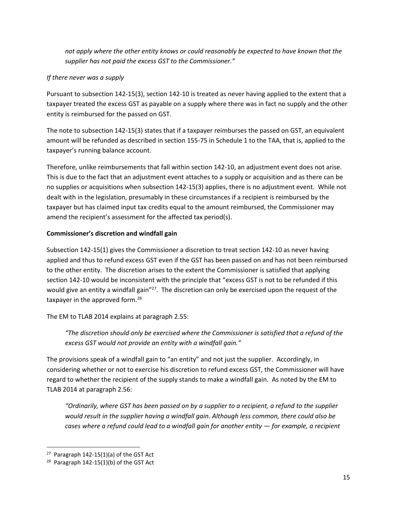*not apply where the other entity knows or could reasonably be expected to have known that the supplier has not paid the excess GST to the Commissioner."*

# *If there never was a supply*

Pursuant to subsection 142-15(3), section 142-10 is treated as never having applied to the extent that a taxpayer treated the excess GST as payable on a supply where there was in fact no supply and the other entity is reimbursed for the passed on GST.

The note to subsection 142-15(3) states that if a taxpayer reimburses the passed on GST, an equivalent amount will be refunded as described in section 155-75 in Schedule 1 to the TAA, that is, applied to the taxpayer's running balance account.

Therefore, unlike reimbursements that fall within section 142-10, an adjustment event does not arise. This is due to the fact that an adjustment event attaches to a supply or acquisition and as there can be no supplies or acquisitions when subsection 142-15(3) applies, there is no adjustment event. While not dealt with in the legislation, presumably in these circumstances if a recipient is reimbursed by the taxpayer but has claimed input tax credits equal to the amount reimbursed, the Commissioner may amend the recipient's assessment for the affected tax period(s).

# **Commissioner's discretion and windfall gain**

Subsection 142-15(1) gives the Commissioner a discretion to treat section 142-10 as never having applied and thus to refund excess GST even if the GST has been passed on and has not been reimbursed to the other entity. The discretion arises to the extent the Commissioner is satisfied that applying section 142-10 would be inconsistent with the principle that "excess GST is not to be refunded if this would give an entity a windfall gain"<sup>27</sup>. The discretion can only be exercised upon the request of the taxpayer in the approved form.<sup>28</sup>

The EM to TLAB 2014 explains at paragraph 2.55:

*"The discretion should only be exercised where the Commissioner is satisfied that a refund of the excess GST would not provide an entity with a windfall gain."*

The provisions speak of a windfall gain to "an entity" and not just the supplier. Accordingly, in considering whether or not to exercise his discretion to refund excess GST, the Commissioner will have regard to whether the recipient of the supply stands to make a windfall gain. As noted by the EM to TLAB 2014 at paragraph 2.56:

*"Ordinarily, where GST has been passed on by a supplier to a recipient, a refund to the supplier would result in the supplier having a windfall gain. Although less common, there could also be cases where a refund could lead to a windfall gain for another entity — for example, a recipient* 

 $27$  Paragraph 142-15(1)(a) of the GST Act

 $28$  Paragraph 142-15(1)(b) of the GST Act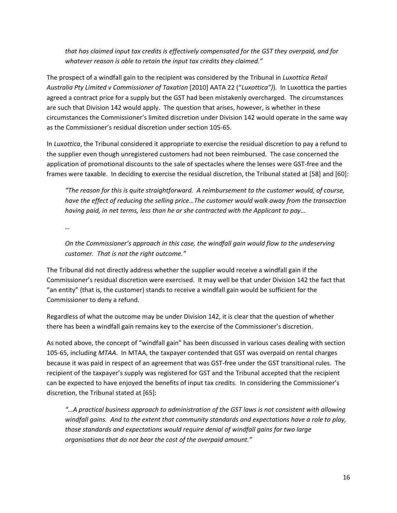*that has claimed input tax credits is effectively compensated for the GST they overpaid, and for whatever reason is able to retain the input tax credits they claimed."*

The prospect of a windfall gain to the recipient was considered by the Tribunal in *Luxottica Retail Australia Pty Limited v Commissioner of Taxation* [2010] AATA 22 ("*Luxottica")*). In Luxottica the parties agreed a contract price for a supply but the GST had been mistakenly overcharged. The circumstances are such that Division 142 would apply. The question that arises, however, is whether in these circumstances the Commissioner's limited discretion under Division 142 would operate in the same way as the Commissioner's residual discretion under section 105-65.

In *Luxottica*, the Tribunal considered it appropriate to exercise the residual discretion to pay a refund to the supplier even though unregistered customers had not been reimbursed. The case concerned the application of promotional discounts to the sale of spectacles where the lenses were GST-free and the frames were taxable. In deciding to exercise the residual discretion, the Tribunal stated at [58] and [60]:

*"The reason for this is quite straightforward. A reimbursement to the customer would, of course, have the effect of reducing the selling price…The customer would walk away from the transaction having paid, in net terms, less than he or she contracted with the Applicant to pay…*

*…*

*On the Commissioner's approach in this case, the windfall gain would flow to the undeserving customer. That is not the right outcome."*

The Tribunal did not directly address whether the supplier would receive a windfall gain if the Commissioner's residual discretion were exercised. It may well be that under Division 142 the fact that "an entity" (that is, the customer) stands to receive a windfall gain would be sufficient for the Commissioner to deny a refund.

Regardless of what the outcome may be under Division 142, it is clear that the question of whether there has been a windfall gain remains key to the exercise of the Commissioner's discretion.

As noted above, the concept of "windfall gain" has been discussed in various cases dealing with section 105-65, including *MTAA*. In MTAA, the taxpayer contended that GST was overpaid on rental charges because it was paid in respect of an agreement that was GST-free under the GST transitional rules. The recipient of the taxpayer's supply was registered for GST and the Tribunal accepted that the recipient can be expected to have enjoyed the benefits of input tax credits. In considering the Commissioner's discretion, the Tribunal stated at [65]:

*"…A practical business approach to administration of the GST laws is not consistent with allowing windfall gains. And to the extent that community standards and expectations have a role to play, those standards and expectations would require denial of windfall gains for two large organisations that do not bear the cost of the overpaid amount."*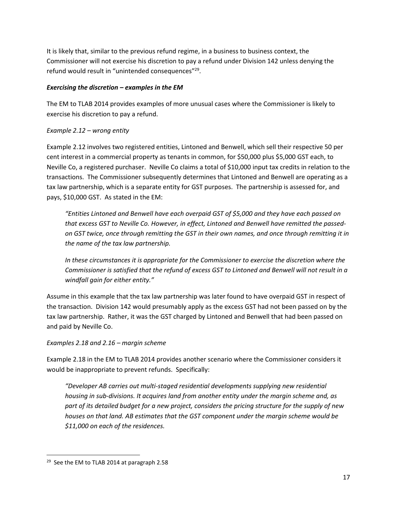It is likely that, similar to the previous refund regime, in a business to business context, the Commissioner will not exercise his discretion to pay a refund under Division 142 unless denying the refund would result in "unintended consequences"<sup>29</sup>.

## *Exercising the discretion – examples in the EM*

The EM to TLAB 2014 provides examples of more unusual cases where the Commissioner is likely to exercise his discretion to pay a refund.

# *Example 2.12 – wrong entity*

Example 2.12 involves two registered entities, Lintoned and Benwell, which sell their respective 50 per cent interest in a commercial property as tenants in common, for \$50,000 plus \$5,000 GST each, to Neville Co, a registered purchaser. Neville Co claims a total of \$10,000 input tax credits in relation to the transactions. The Commissioner subsequently determines that Lintoned and Benwell are operating as a tax law partnership, which is a separate entity for GST purposes. The partnership is assessed for, and pays, \$10,000 GST. As stated in the EM:

*"Entities Lintoned and Benwell have each overpaid GST of \$5,000 and they have each passed on that excess GST to Neville Co. However, in effect, Lintoned and Benwell have remitted the passedon GST twice, once through remitting the GST in their own names, and once through remitting it in the name of the tax law partnership.* 

*In these circumstances it is appropriate for the Commissioner to exercise the discretion where the Commissioner is satisfied that the refund of excess GST to Lintoned and Benwell will not result in a windfall gain for either entity."*

Assume in this example that the tax law partnership was later found to have overpaid GST in respect of the transaction. Division 142 would presumably apply as the excess GST had not been passed on by the tax law partnership. Rather, it was the GST charged by Lintoned and Benwell that had been passed on and paid by Neville Co.

#### *Examples 2.18 and 2.16 – margin scheme*

Example 2.18 in the EM to TLAB 2014 provides another scenario where the Commissioner considers it would be inappropriate to prevent refunds. Specifically:

*"Developer AB carries out multi-staged residential developments supplying new residential housing in sub-divisions. It acquires land from another entity under the margin scheme and, as part of its detailed budget for a new project, considers the pricing structure for the supply of new houses on that land. AB estimates that the GST component under the margin scheme would be \$11,000 on each of the residences.* 

<sup>&</sup>lt;sup>29</sup> See the EM to TLAB 2014 at paragraph 2.58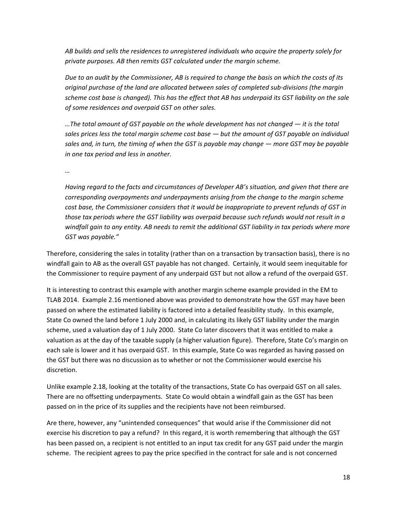*AB builds and sells the residences to unregistered individuals who acquire the property solely for private purposes. AB then remits GST calculated under the margin scheme.* 

*Due to an audit by the Commissioner, AB is required to change the basis on which the costs of its original purchase of the land are allocated between sales of completed sub-divisions (the margin scheme cost base is changed). This has the effect that AB has underpaid its GST liability on the sale of some residences and overpaid GST on other sales.*

…The total amount of GST payable on the whole development has not changed — it is the total *sales prices less the total margin scheme cost base — but the amount of GST payable on individual sales and, in turn, the timing of when the GST is payable may change — more GST may be payable in one tax period and less in another.* 

*…*

*Having regard to the facts and circumstances of Developer AB's situation, and given that there are corresponding overpayments and underpayments arising from the change to the margin scheme cost base, the Commissioner considers that it would be inappropriate to prevent refunds of GST in those tax periods where the GST liability was overpaid because such refunds would not result in a windfall gain to any entity. AB needs to remit the additional GST liability in tax periods where more GST was payable."*

Therefore, considering the sales in totality (rather than on a transaction by transaction basis), there is no windfall gain to AB as the overall GST payable has not changed. Certainly, it would seem inequitable for the Commissioner to require payment of any underpaid GST but not allow a refund of the overpaid GST.

It is interesting to contrast this example with another margin scheme example provided in the EM to TLAB 2014. Example 2.16 mentioned above was provided to demonstrate how the GST may have been passed on where the estimated liability is factored into a detailed feasibility study. In this example, State Co owned the land before 1 July 2000 and, in calculating its likely GST liability under the margin scheme, used a valuation day of 1 July 2000. State Co later discovers that it was entitled to make a valuation as at the day of the taxable supply (a higher valuation figure). Therefore, State Co's margin on each sale is lower and it has overpaid GST. In this example, State Co was regarded as having passed on the GST but there was no discussion as to whether or not the Commissioner would exercise his discretion.

Unlike example 2.18, looking at the totality of the transactions, State Co has overpaid GST on all sales. There are no offsetting underpayments. State Co would obtain a windfall gain as the GST has been passed on in the price of its supplies and the recipients have not been reimbursed.

Are there, however, any "unintended consequences" that would arise if the Commissioner did not exercise his discretion to pay a refund? In this regard, it is worth remembering that although the GST has been passed on, a recipient is not entitled to an input tax credit for any GST paid under the margin scheme. The recipient agrees to pay the price specified in the contract for sale and is not concerned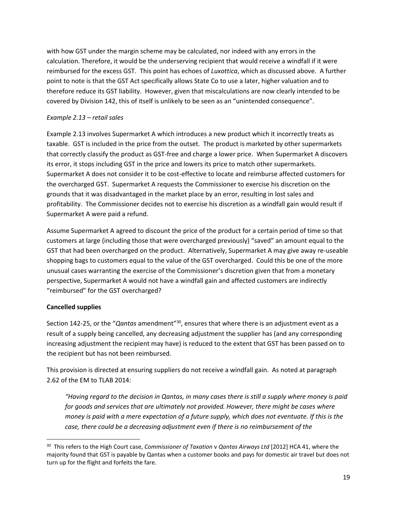with how GST under the margin scheme may be calculated, nor indeed with any errors in the calculation. Therefore, it would be the underserving recipient that would receive a windfall if it were reimbursed for the excess GST. This point has echoes of *Luxottica*, which as discussed above. A further point to note is that the GST Act specifically allows State Co to use a later, higher valuation and to therefore reduce its GST liability. However, given that miscalculations are now clearly intended to be covered by Division 142, this of itself is unlikely to be seen as an "unintended consequence".

## *Example 2.13 – retail sales*

Example 2.13 involves Supermarket A which introduces a new product which it incorrectly treats as taxable. GST is included in the price from the outset. The product is marketed by other supermarkets that correctly classify the product as GST-free and charge a lower price. When Supermarket A discovers its error, it stops including GST in the price and lowers its price to match other supermarkets. Supermarket A does not consider it to be cost-effective to locate and reimburse affected customers for the overcharged GST. Supermarket A requests the Commissioner to exercise his discretion on the grounds that it was disadvantaged in the market place by an error, resulting in lost sales and profitability. The Commissioner decides not to exercise his discretion as a windfall gain would result if Supermarket A were paid a refund.

Assume Supermarket A agreed to discount the price of the product for a certain period of time so that customers at large (including those that were overcharged previously) "saved" an amount equal to the GST that had been overcharged on the product. Alternatively, Supermarket A may give away re-useable shopping bags to customers equal to the value of the GST overcharged. Could this be one of the more unusual cases warranting the exercise of the Commissioner's discretion given that from a monetary perspective, Supermarket A would not have a windfall gain and affected customers are indirectly "reimbursed" for the GST overcharged?

# **Cancelled supplies**

Section 142-25, or the "*Qantas* amendment"<sup>30</sup>, ensures that where there is an adjustment event as a result of a supply being cancelled, any decreasing adjustment the supplier has (and any corresponding increasing adjustment the recipient may have) is reduced to the extent that GST has been passed on to the recipient but has not been reimbursed.

This provision is directed at ensuring suppliers do not receive a windfall gain. As noted at paragraph 2.62 of the EM to TLAB 2014:

*"Having regard to the decision in Qantas, in many cases there is still a supply where money is paid for goods and services that are ultimately not provided. However, there might be cases where money is paid with a mere expectation of a future supply, which does not eventuate. If this is the case, there could be a decreasing adjustment even if there is no reimbursement of the* 

<sup>30</sup> This refers to the High Court case, *Commissioner of Taxation* v *Qantas Airways Ltd* [2012] HCA 41, where the majority found that GST is payable by Qantas when a customer books and pays for domestic air travel but does not turn up for the flight and forfeits the fare.